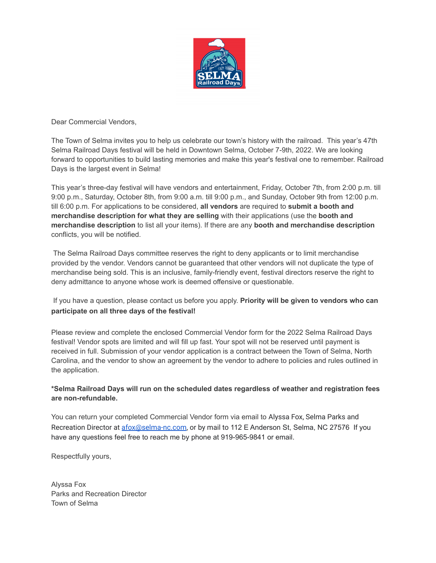

Dear Commercial Vendors,

The Town of Selma invites you to help us celebrate our town's history with the railroad. This year's 47th Selma Railroad Days festival will be held in Downtown Selma, October 7-9th, 2022. We are looking forward to opportunities to build lasting memories and make this year's festival one to remember. Railroad Days is the largest event in Selma!

This year's three-day festival will have vendors and entertainment, Friday, October 7th, from 2:00 p.m. till 9:00 p.m., Saturday, October 8th, from 9:00 a.m. till 9:00 p.m., and Sunday, October 9th from 12:00 p.m. till 6:00 p.m. For applications to be considered, **all vendors** are required to **submit a booth and merchandise description for what they are selling** with their applications (use the **booth and merchandise description** to list all your items). If there are any **booth and merchandise description** conflicts, you will be notified.

The Selma Railroad Days committee reserves the right to deny applicants or to limit merchandise provided by the vendor. Vendors cannot be guaranteed that other vendors will not duplicate the type of merchandise being sold. This is an inclusive, family-friendly event, festival directors reserve the right to deny admittance to anyone whose work is deemed offensive or questionable.

# If you have a question, please contact us before you apply. **Priority will be given to vendors who can participate on all three days of the festival!**

Please review and complete the enclosed Commercial Vendor form for the 2022 Selma Railroad Days festival! Vendor spots are limited and will fill up fast. Your spot will not be reserved until payment is received in full. Submission of your vendor application is a contract between the Town of Selma, North Carolina, and the vendor to show an agreement by the vendor to adhere to policies and rules outlined in the application.

# **\*Selma Railroad Days will run on the scheduled dates regardless of weather and registration fees are non-refundable.**

You can return your completed Commercial Vendor form via email to Alyssa Fox, Selma Parks and Recreation Director at [afox@selma-nc.com](mailto:afox@selma-nc.com), or by mail to 112 E Anderson St, Selma, NC 27576 If you have any questions feel free to reach me by phone at 919-965-9841 or email.

Respectfully yours,

Alyssa Fox Parks and Recreation Director Town of Selma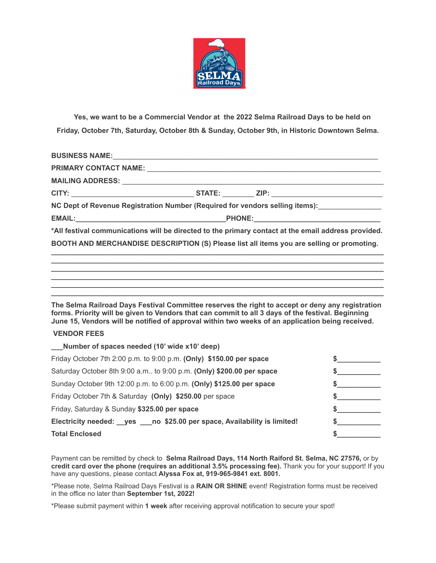

**Yes, we want to be a Commercial Vendor at the 2022 Selma Railroad Days to be held on Friday, October 7th, Saturday, October 8th & Sunday, October 9th, in Historic Downtown Selma.**

| BUSINESS NAME: New York State State State State State State State State State State State State State State State State State State State State State State State State State State State State State State State State State |  |  |  |
|-------------------------------------------------------------------------------------------------------------------------------------------------------------------------------------------------------------------------------|--|--|--|
|                                                                                                                                                                                                                               |  |  |  |
|                                                                                                                                                                                                                               |  |  |  |
|                                                                                                                                                                                                                               |  |  |  |
| NC Dept of Revenue Registration Number (Required for vendors selling items): [169] [16] NC Dept of Revenue Registration Number (Required for vendors selling items):                                                          |  |  |  |
|                                                                                                                                                                                                                               |  |  |  |
| *All festival communications will be directed to the primary contact at the email address provided.                                                                                                                           |  |  |  |
| BOOTH AND MERCHANDISE DESCRIPTION (S) Please list all items you are selling or promoting.                                                                                                                                     |  |  |  |

**The Selma Railroad Days Festival Committee reserves the right to accept or deny any registration forms. Priority will be given to Vendors that can commit to all 3 days of the festival. Beginning June 15, Vendors will be notified of approval within two weeks of an application being received.**

**\_\_\_\_\_\_\_\_\_\_\_\_\_\_\_\_\_\_\_\_\_\_\_\_\_\_\_\_\_\_\_\_\_\_\_\_\_\_\_\_\_\_\_\_\_\_\_\_\_\_\_\_\_\_\_\_\_\_\_\_\_\_\_\_\_\_\_\_\_\_\_\_\_\_\_\_\_\_\_\_\_\_\_\_ \_\_\_\_\_\_\_\_\_\_\_\_\_\_\_\_\_\_\_\_\_\_\_\_\_\_\_\_\_\_\_\_\_\_\_\_\_\_\_\_\_\_\_\_\_\_\_\_\_\_\_\_\_\_\_\_\_\_\_\_\_\_\_\_\_\_\_\_\_\_\_\_\_\_\_\_\_\_\_\_\_\_\_\_ \_\_\_\_\_\_\_\_\_\_\_\_\_\_\_\_\_\_\_\_\_\_\_\_\_\_\_\_\_\_\_\_\_\_\_\_\_\_\_\_\_\_\_\_\_\_\_\_\_\_\_\_\_\_\_\_\_\_\_\_\_\_\_\_\_\_\_\_\_\_\_\_\_\_\_\_\_\_\_\_\_\_\_\_ \_\_\_\_\_\_\_\_\_\_\_\_\_\_\_\_\_\_\_\_\_\_\_\_\_\_\_\_\_\_\_\_\_\_\_\_\_\_\_\_\_\_\_\_\_\_\_\_\_\_\_\_\_\_\_\_\_\_\_\_\_\_\_\_\_\_\_\_\_\_\_\_\_\_\_\_\_\_\_\_\_\_\_\_ \_\_\_\_\_\_\_\_\_\_\_\_\_\_\_\_\_\_\_\_\_\_\_\_\_\_\_\_\_\_\_\_\_\_\_\_\_\_\_\_\_\_\_\_\_\_\_\_\_\_\_\_\_\_\_\_\_\_\_\_\_\_\_\_\_\_\_\_\_\_\_\_\_\_\_\_\_\_\_\_\_\_\_\_**

## **VENDOR FEES**

| Number of spaces needed (10' wide x10' deep)                                  |  |
|-------------------------------------------------------------------------------|--|
| Friday October 7th 2:00 p.m. to 9:00 p.m. (Only) \$150.00 per space           |  |
| Saturday October 8th 9:00 a.m to 9:00 p.m. (Only) \$200.00 per space          |  |
| Sunday October 9th 12:00 p.m. to 6:00 p.m. (Only) \$125.00 per space          |  |
| Friday October 7th & Saturday (Only) \$250.00 per space                       |  |
| Friday, Saturday & Sunday \$325.00 per space                                  |  |
| Electricity needed: __ yes ___ no \$25.00 per space, Availability is limited! |  |
| <b>Total Enclosed</b>                                                         |  |

Payment can be remitted by check to **Selma Railroad Days, 114 North Raiford St. Selma, NC 27576,** or by **credit card over the phone (requires an additional 3.5% processing fee).** Thank you for your support! If you have any questions, please contact **Alyssa Fox at, 919-965-9841 ext. 8001.**

\*Please note, Selma Railroad Days Festival is a **RAIN OR SHINE** event! Registration forms must be received in the office no later than **September 1st, 2022!**

\*Please submit payment within **1 week** after receiving approval notification to secure your spot!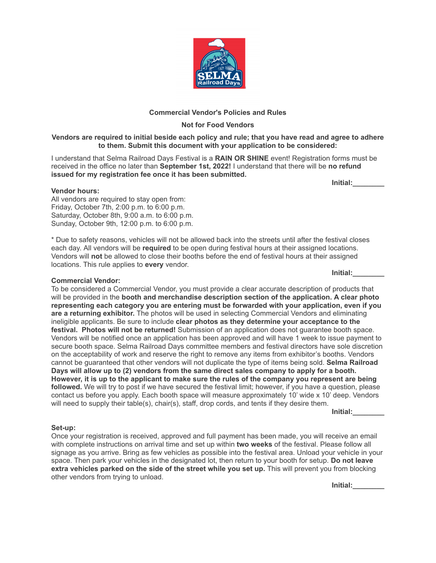

## **Commercial Vendor's Policies and Rules**

## **Not for Food Vendors**

### Vendors are required to initial beside each policy and rule; that you have read and agree to adhere **to them. Submit this document with your application to be considered:**

I understand that Selma Railroad Days Festival is a **RAIN OR SHINE** event! Registration forms must be received in the office no later than **September 1st, 2022!** I understand that there will be **no refund issued for my registration fee once it has been submitted.**

**Initial:\_\_\_\_\_\_\_\_**

#### **Vendor hours:**

All vendors are required to stay open from: Friday, October 7th, 2:00 p.m. to 6:00 p.m. Saturday, October 8th, 9:00 a.m. to 6:00 p.m. Sunday, October 9th, 12:00 p.m. to 6:00 p.m.

\* Due to safety reasons, vehicles will not be allowed back into the streets until after the festival closes each day. All vendors will be **required** to be open during festival hours at their assigned locations. Vendors will **not** be allowed to close their booths before the end of festival hours at their assigned locations. This rule applies to **every** vendor.

### **Commercial Vendor:**

To be considered a Commercial Vendor, you must provide a clear accurate description of products that will be provided in the **booth and merchandise description section of the application. A clear photo representing each category you are entering must be forwarded with your application, even if you are a returning exhibitor.** The photos will be used in selecting Commercial Vendors and eliminating ineligible applicants. Be sure to include **clear photos as they determine your acceptance to the festival. Photos will not be returned!** Submission of an application does not guarantee booth space. Vendors will be notified once an application has been approved and will have 1 week to issue payment to secure booth space. Selma Railroad Days committee members and festival directors have sole discretion on the acceptability of work and reserve the right to remove any items from exhibitor's booths. Vendors cannot be guaranteed that other vendors will not duplicate the type of items being sold. **Selma Railroad Days will allow up to (2) vendors from the same direct sales company to apply for a booth.** However, it is up to the applicant to make sure the rules of the company you represent are being **followed.** We will try to post if we have secured the festival limit; however, if you have a question, please contact us before you apply. Each booth space will measure approximately 10' wide x 10' deep. Vendors will need to supply their table(s), chair(s), staff, drop cords, and tents if they desire them.

**Initial:\_\_\_\_\_\_\_\_**

### **Set-up:**

Once your registration is received, approved and full payment has been made, you will receive an email with complete instructions on arrival time and set up within **two weeks** of the festival. Please follow all signage as you arrive. Bring as few vehicles as possible into the festival area. Unload your vehicle in your space. Then park your vehicles in the designated lot, then return to your booth for setup. **Do not leave extra vehicles parked on the side of the street while you set up.** This will prevent you from blocking other vendors from trying to unload.

**Initial:\_\_\_\_\_\_\_\_**

**Initial:\_\_\_\_\_\_\_\_**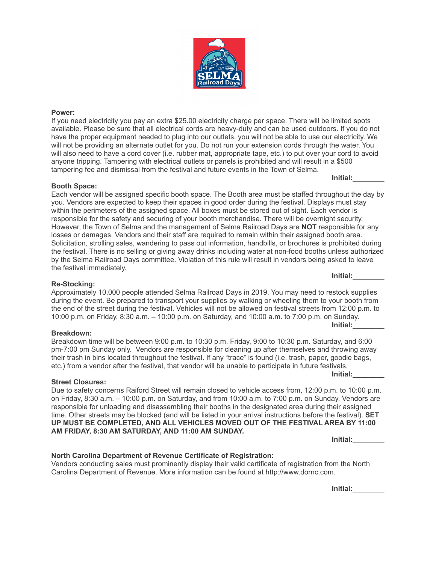

If you need electricity you pay an extra \$25.00 electricity charge per space. There will be limited spots available. Please be sure that all electrical cords are heavy-duty and can be used outdoors. If you do not have the proper equipment needed to plug into our outlets, you will not be able to use our electricity. We will not be providing an alternate outlet for you. Do not run your extension cords through the water. You will also need to have a cord cover (i.e. rubber mat, appropriate tape, etc.) to put over your cord to avoid anyone tripping. Tampering with electrical outlets or panels is prohibited and will result in a \$500 tampering fee and dismissal from the festival and future events in the Town of Selma.

#### **Booth Space:**

Each vendor will be assigned specific booth space. The Booth area must be staffed throughout the day by you. Vendors are expected to keep their spaces in good order during the festival. Displays must stay within the perimeters of the assigned space. All boxes must be stored out of sight. Each vendor is responsible for the safety and securing of your booth merchandise. There will be overnight security. However, the Town of Selma and the management of Selma Railroad Days are **NOT** responsible for any losses or damages. Vendors and their staff are required to remain within their assigned booth area. Solicitation, strolling sales, wandering to pass out information, handbills, or brochures is prohibited during the festival. There is no selling or giving away drinks including water at non-food booths unless authorized by the Selma Railroad Days committee. Violation of this rule will result in vendors being asked to leave the festival immediately.

#### **Re-Stocking:**

Approximately 10,000 people attended Selma Railroad Days in 2019. You may need to restock supplies during the event. Be prepared to transport your supplies by walking or wheeling them to your booth from the end of the street during the festival. Vehicles will not be allowed on festival streets from 12:00 p.m. to 10:00 p.m. on Friday, 8:30 a.m. – 10:00 p.m. on Saturday, and 10:00 a.m. to 7:00 p.m. on Sunday.

#### **Breakdown:**

Breakdown time will be between 9:00 p.m. to 10:30 p.m. Friday, 9:00 to 10:30 p.m. Saturday, and 6:00 pm-7:00 pm Sunday only. Vendors are responsible for cleaning up after themselves and throwing away their trash in bins located throughout the festival. If any "trace" is found (i.e. trash, paper, goodie bags, etc.) from a vendor after the festival, that vendor will be unable to participate in future festivals.

#### **Street Closures:**

Due to safety concerns Raiford Street will remain closed to vehicle access from, 12:00 p.m. to 10:00 p.m. on Friday, 8:30 a.m. – 10:00 p.m. on Saturday, and from 10:00 a.m. to 7:00 p.m. on Sunday. Vendors are responsible for unloading and disassembling their booths in the designated area during their assigned time. Other streets may be blocked (and will be listed in your arrival instructions before the festival). **SET UP MUST BE COMPLETED, AND ALL VEHICLES MOVED OUT OF THE FESTIVAL AREA BY 11:00 AM FRIDAY, 8:30 AM SATURDAY, AND 11:00 AM SUNDAY.**

**Initial:\_\_\_\_\_\_\_\_**

#### **North Carolina Department of Revenue Certificate of Registration:**

Vendors conducting sales must prominently display their valid certificate of registration from the North Carolina Department of Revenue. More information can be found at http://www.dornc.com.

**Initial:\_\_\_\_\_\_\_\_**



**Initial:\_\_\_\_\_\_\_\_**

**Initial:\_\_\_\_\_\_\_\_**

**Initial:\_\_\_\_\_\_\_\_**

**Initial:\_\_\_\_\_\_\_\_**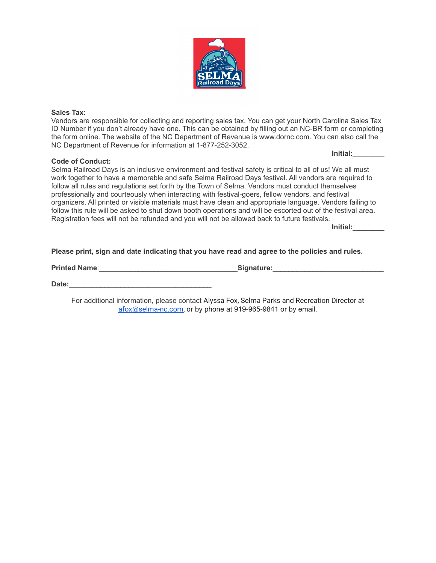

### **Sales Tax:**

Vendors are responsible for collecting and reporting sales tax. You can get your North Carolina Sales Tax ID Number if you don't already have one. This can be obtained by filling out an NC-BR form or completing the form online. The website of the NC Department of Revenue is www.dornc.com. You can also call the NC Department of Revenue for information at 1-877-252-3052.

## **Code of Conduct:**

Selma Railroad Days is an inclusive environment and festival safety is critical to all of us! We all must work together to have a memorable and safe Selma Railroad Days festival. All vendors are required to follow all rules and regulations set forth by the Town of Selma. Vendors must conduct themselves professionally and courteously when interacting with festival-goers, fellow vendors, and festival organizers. All printed or visible materials must have clean and appropriate language. Vendors failing to follow this rule will be asked to shut down booth operations and will be escorted out of the festival area. Registration fees will not be refunded and you will not be allowed back to future festivals.

**Initial:\_\_\_\_\_\_\_\_**

**Initial:\_\_\_\_\_\_\_\_**

## **Please print, sign and date indicating that you have read and agree to the policies and rules.**

**Printed Name**:\_\_\_\_\_\_\_\_\_\_\_\_\_\_\_\_\_\_\_\_\_\_\_\_\_\_\_\_\_\_\_\_\_\_\_**Signature:**\_\_\_\_\_\_\_\_\_\_\_\_\_\_\_\_\_\_\_\_\_\_\_\_\_\_\_\_

Date:

For additional information, please contact Alyssa Fox, Selma Parks and Recreation Director at [afox@selma-nc.com,](mailto:afox@selma-nc.com) or by phone at 919-965-9841 or by email.